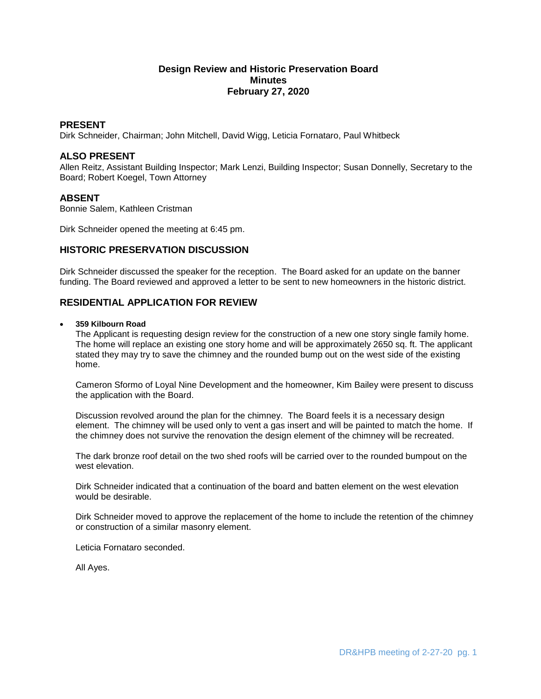## **Design Review and Historic Preservation Board Minutes February 27, 2020**

### **PRESENT**

Dirk Schneider, Chairman; John Mitchell, David Wigg, Leticia Fornataro, Paul Whitbeck

## **ALSO PRESENT**

Allen Reitz, Assistant Building Inspector; Mark Lenzi, Building Inspector; Susan Donnelly, Secretary to the Board; Robert Koegel, Town Attorney

### **ABSENT**

Bonnie Salem, Kathleen Cristman

Dirk Schneider opened the meeting at 6:45 pm.

## **HISTORIC PRESERVATION DISCUSSION**

Dirk Schneider discussed the speaker for the reception. The Board asked for an update on the banner funding. The Board reviewed and approved a letter to be sent to new homeowners in the historic district.

# **RESIDENTIAL APPLICATION FOR REVIEW**

#### **359 Kilbourn Road**

The Applicant is requesting design review for the construction of a new one story single family home. The home will replace an existing one story home and will be approximately 2650 sq. ft. The applicant stated they may try to save the chimney and the rounded bump out on the west side of the existing home.

Cameron Sformo of Loyal Nine Development and the homeowner, Kim Bailey were present to discuss the application with the Board.

Discussion revolved around the plan for the chimney. The Board feels it is a necessary design element. The chimney will be used only to vent a gas insert and will be painted to match the home. If the chimney does not survive the renovation the design element of the chimney will be recreated.

The dark bronze roof detail on the two shed roofs will be carried over to the rounded bumpout on the west elevation.

Dirk Schneider indicated that a continuation of the board and batten element on the west elevation would be desirable.

Dirk Schneider moved to approve the replacement of the home to include the retention of the chimney or construction of a similar masonry element.

Leticia Fornataro seconded.

All Ayes.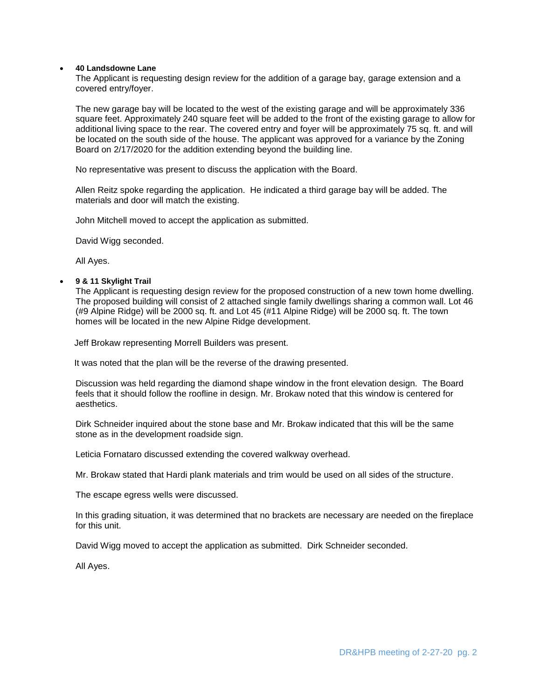#### **40 Landsdowne Lane**

The Applicant is requesting design review for the addition of a garage bay, garage extension and a covered entry/foyer.

The new garage bay will be located to the west of the existing garage and will be approximately 336 square feet. Approximately 240 square feet will be added to the front of the existing garage to allow for additional living space to the rear. The covered entry and foyer will be approximately 75 sq. ft. and will be located on the south side of the house. The applicant was approved for a variance by the Zoning Board on 2/17/2020 for the addition extending beyond the building line.

No representative was present to discuss the application with the Board.

Allen Reitz spoke regarding the application. He indicated a third garage bay will be added. The materials and door will match the existing.

John Mitchell moved to accept the application as submitted.

David Wigg seconded.

All Ayes.

### **9 & 11 Skylight Trail**

The Applicant is requesting design review for the proposed construction of a new town home dwelling. The proposed building will consist of 2 attached single family dwellings sharing a common wall. Lot 46 (#9 Alpine Ridge) will be 2000 sq. ft. and Lot 45 (#11 Alpine Ridge) will be 2000 sq. ft. The town homes will be located in the new Alpine Ridge development.

Jeff Brokaw representing Morrell Builders was present.

It was noted that the plan will be the reverse of the drawing presented.

Discussion was held regarding the diamond shape window in the front elevation design. The Board feels that it should follow the roofline in design. Mr. Brokaw noted that this window is centered for aesthetics.

Dirk Schneider inquired about the stone base and Mr. Brokaw indicated that this will be the same stone as in the development roadside sign.

Leticia Fornataro discussed extending the covered walkway overhead.

Mr. Brokaw stated that Hardi plank materials and trim would be used on all sides of the structure.

The escape egress wells were discussed.

In this grading situation, it was determined that no brackets are necessary are needed on the fireplace for this unit.

David Wigg moved to accept the application as submitted. Dirk Schneider seconded.

All Ayes.